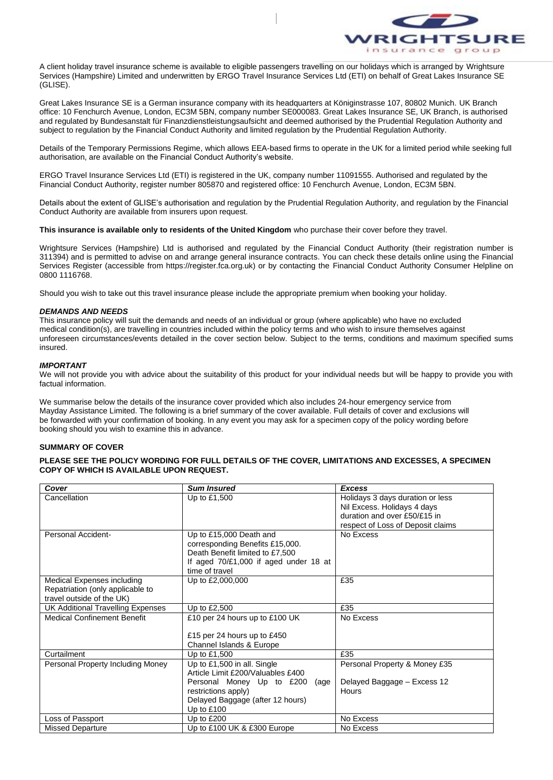

A client holiday travel insurance scheme is available to eligible passengers travelling on our holidays which is arranged by Wrightsure Services (Hampshire) Limited and underwritten by ERGO Travel Insurance Services Ltd (ETI) on behalf of Great Lakes Insurance SE (GLISE).

Great Lakes Insurance SE is a German insurance company with its headquarters at Königinstrasse 107, 80802 Munich. UK Branch office: 10 Fenchurch Avenue, London, EC3M 5BN, company number SE000083. Great Lakes Insurance SE, UK Branch, is authorised and regulated by Bundesanstalt für Finanzdienstleistungsaufsicht and deemed authorised by the Prudential Regulation Authority and subject to regulation by the Financial Conduct Authority and limited regulation by the Prudential Regulation Authority.

Details of the Temporary Permissions Regime, which allows EEA-based firms to operate in the UK for a limited period while seeking full authorisation, are available on the Financial Conduct Authority's website.

ERGO Travel Insurance Services Ltd (ETI) is registered in the UK, company number 11091555. Authorised and regulated by the Financial Conduct Authority, register number 805870 and registered office: 10 Fenchurch Avenue, London, EC3M 5BN.

Details about the extent of GLISE's authorisation and regulation by the Prudential Regulation Authority, and regulation by the Financial Conduct Authority are available from insurers upon request.

**This insurance is available only to residents of the United Kingdom** who purchase their cover before they travel.

Wrightsure Services (Hampshire) Ltd is authorised and regulated by the Financial Conduct Authority (their registration number is 311394) and is permitted to advise on and arrange general insurance contracts. You can check these details online using the Financial Services Register (accessible from https://register.fca.org.uk) or by contacting the Financial Conduct Authority Consumer Helpline on 0800 1116768.

Should you wish to take out this travel insurance please include the appropriate premium when booking your holiday.

## *DEMANDS AND NEEDS*

This insurance policy will suit the demands and needs of an individual or group (where applicable) who have no excluded medical condition(s), are travelling in countries included within the policy terms and who wish to insure themselves against unforeseen circumstances/events detailed in the cover section below. Subject to the terms, conditions and maximum specified sums insured.

## *IMPORTANT*

We will not provide you with advice about the suitability of this product for your individual needs but will be happy to provide you with factual information.

We summarise below the details of the insurance cover provided which also includes 24-hour emergency service from Mayday Assistance Limited. The following is a brief summary of the cover available. Full details of cover and exclusions will be forwarded with your confirmation of booking. In any event you may ask for a specimen copy of the policy wording before booking should you wish to examine this in advance.

#### **SUMMARY OF COVER**

**PLEASE SEE THE POLICY WORDING FOR FULL DETAILS OF THE COVER, LIMITATIONS AND EXCESSES, A SPECIMEN COPY OF WHICH IS AVAILABLE UPON REQUEST.**

| Cover                              | <b>Sum Insured</b>                    | <b>Excess</b>                     |
|------------------------------------|---------------------------------------|-----------------------------------|
| Cancellation                       | Up to £1,500                          | Holidays 3 days duration or less  |
|                                    |                                       | Nil Excess. Holidays 4 days       |
|                                    |                                       | duration and over £50/£15 in      |
|                                    |                                       | respect of Loss of Deposit claims |
| Personal Accident-                 | Up to £15,000 Death and               | No Excess                         |
|                                    | corresponding Benefits £15,000.       |                                   |
|                                    | Death Benefit limited to £7,500       |                                   |
|                                    | If aged 70/£1,000 if aged under 18 at |                                   |
|                                    | time of travel                        |                                   |
| Medical Expenses including         | Up to £2,000,000                      | £35                               |
| Repatriation (only applicable to   |                                       |                                   |
| travel outside of the UK)          |                                       |                                   |
| UK Additional Travelling Expenses  | Up to £2,500                          | £35                               |
| <b>Medical Confinement Benefit</b> | £10 per 24 hours up to £100 UK        | No Excess                         |
|                                    |                                       |                                   |
|                                    | £15 per 24 hours up to £450           |                                   |
|                                    | Channel Islands & Europe              |                                   |
| Curtailment                        | Up to £1,500                          | £35                               |
| Personal Property Including Money  | Up to £1,500 in all. Single           | Personal Property & Money £35     |
|                                    | Article Limit £200/Valuables £400     |                                   |
|                                    | Personal Money Up to £200<br>(age     | Delayed Baggage - Excess 12       |
|                                    | restrictions apply)                   | Hours                             |
|                                    | Delayed Baggage (after 12 hours)      |                                   |
|                                    | Up to $£100$                          |                                   |
| Loss of Passport                   | Up to $£200$                          | No Excess                         |
| <b>Missed Departure</b>            | Up to £100 UK & £300 Europe           | No Excess                         |